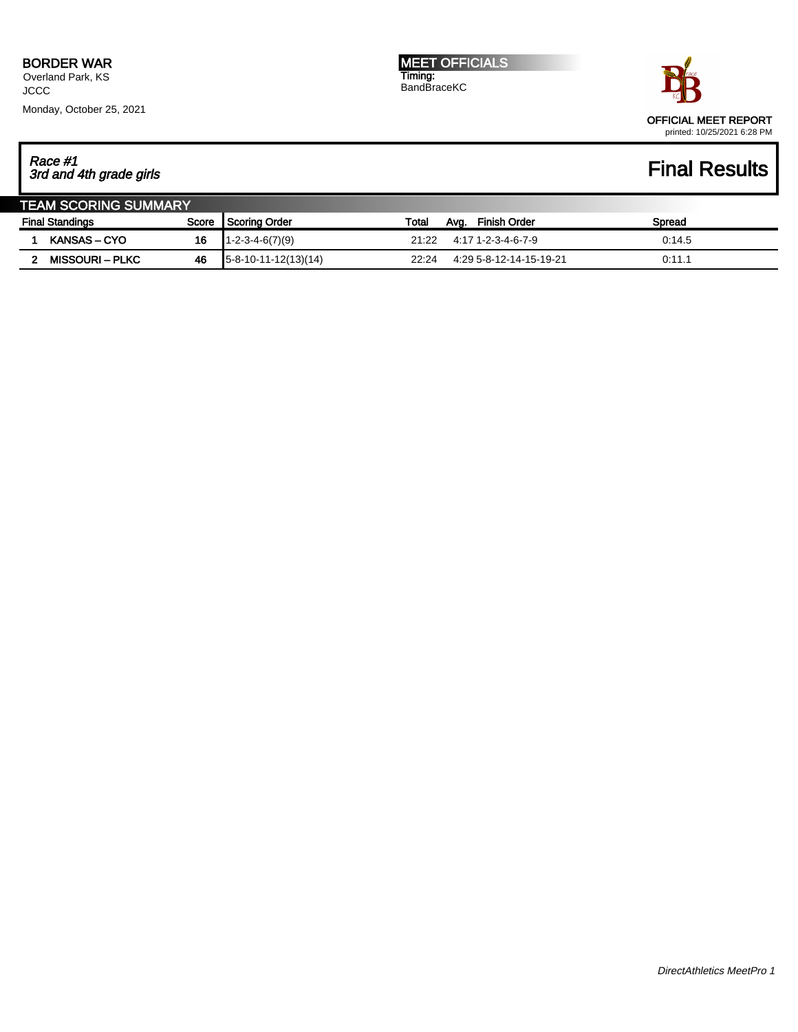Overland Park, KS **JCCC** Monday, October 25, 2021 MEET OFFICIALS Timing: BandBraceKC



## Race #1 3rd and 4th grade girls Final Results

| <b>TEAM SCORING SUMMARY</b> |                        |       |                           |       |      |                         |        |  |
|-----------------------------|------------------------|-------|---------------------------|-------|------|-------------------------|--------|--|
| <b>Final Standings</b>      |                        | Score | Scoring Order             | Total | Avg. | Finish Order            | Spread |  |
|                             | <b>KANSAS – CYO</b>    | 16    | $1 - 2 - 3 - 4 - 6(7)(9)$ | 21:22 |      | 4:17 1-2-3-4-6-7-9      | 0.14.5 |  |
|                             | <b>MISSOURI – PLKC</b> | 46    | $15-8-10-11-12(13)(14)$   | 22:24 |      | 4:29 5-8-12-14-15-19-21 | 0:11.1 |  |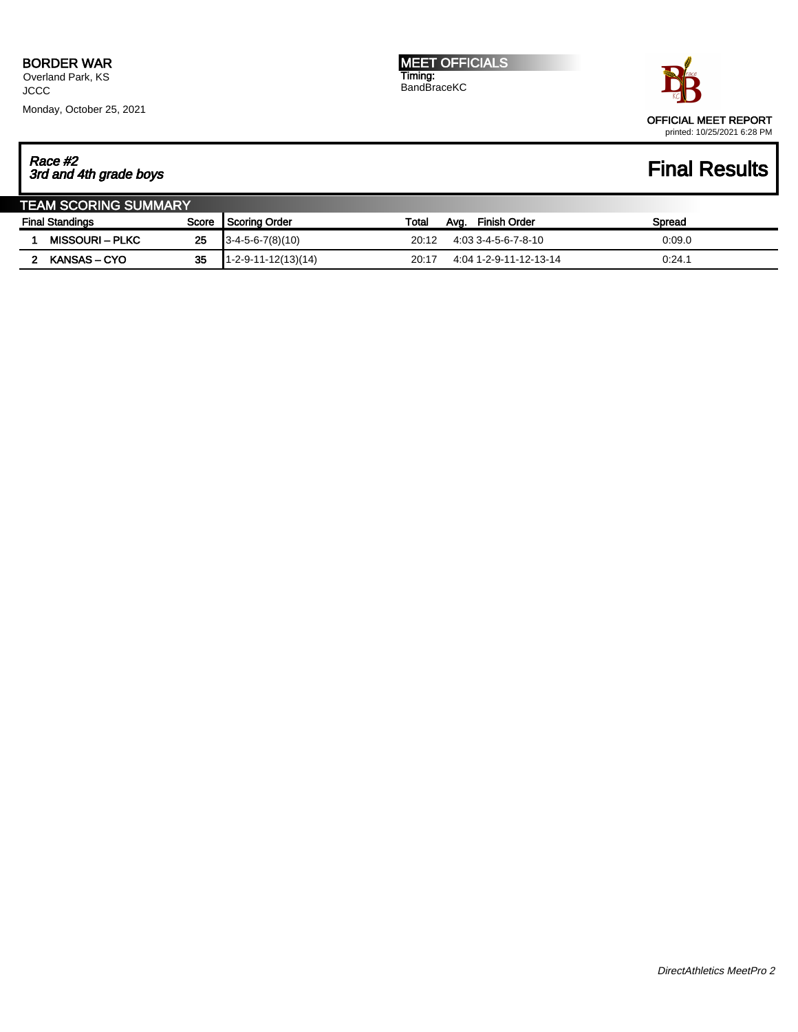Overland Park, KS **JCCC** Monday, October 25, 2021 MEET OFFICIALS Timing: BandBraceKC



## Race #2 3rd and 4th grade boys Final Results

| <b>TEAM SCORING SUMMARY</b> |                        |       |                        |       |                        |        |  |  |
|-----------------------------|------------------------|-------|------------------------|-------|------------------------|--------|--|--|
| <b>Final Standings</b>      |                        | Score | I Scoring Order        | Total | Finish Order<br>Avg.   | Spread |  |  |
|                             | <b>MISSOURI – PLKC</b> | 25    | $3-4-5-6-7(8)(10)$     | 20:12 | 4:03 3-4-5-6-7-8-10    | 0:09.0 |  |  |
|                             | KANSAS – CYO           | 35    | $11-2-9-11-12(13)(14)$ | 20:17 | 4:04 1-2-9-11-12-13-14 | 0:24.1 |  |  |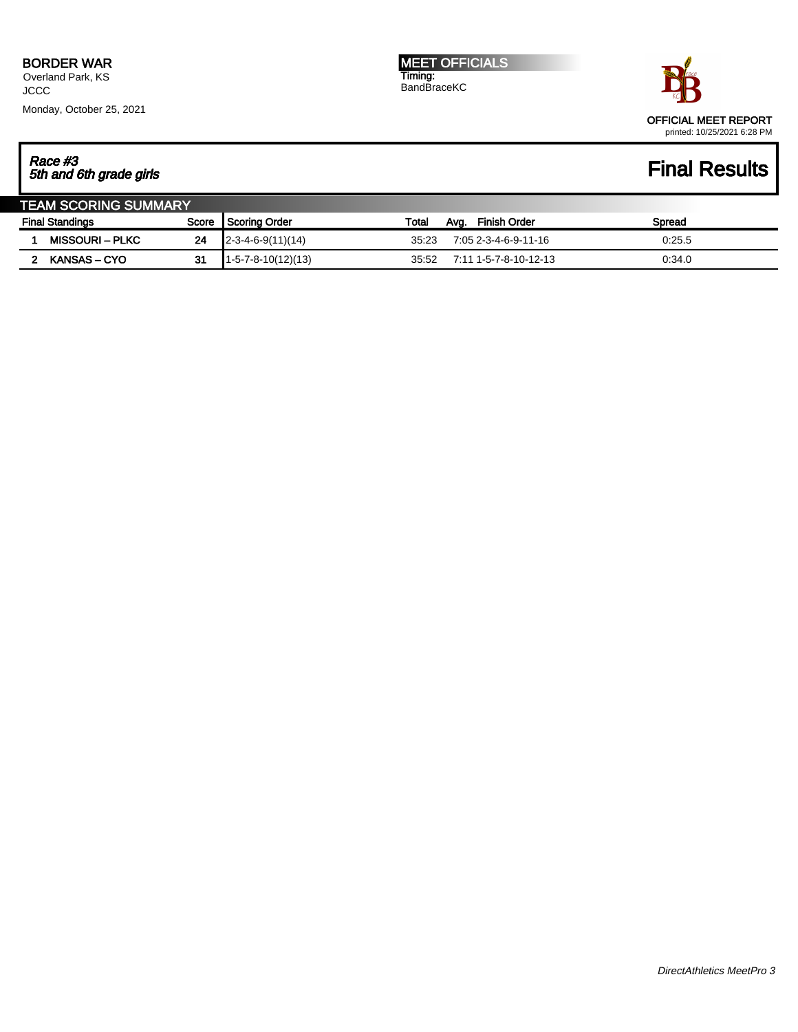Overland Park, KS **JCCC** Monday, October 25, 2021



# Race #3 5th and 6th grade girls Final Results

| <b>TEAM SCORING SUMMARY</b> |                 |    |                       |       |                       |        |  |  |
|-----------------------------|-----------------|----|-----------------------|-------|-----------------------|--------|--|--|
| <b>Final Standings</b>      |                 |    | Score Scoring Order   | Total | Finish Order<br>Avg.  | Spread |  |  |
|                             | MISSOURI – PLKC | 24 | $[2-3-4-6-9(11)(14)]$ | 35.23 | 7:05 2-3-4-6-9-11-16  | 0:25.5 |  |  |
|                             | KANSAS – CYO    | 31 | $1-5-7-8-10(12)(13)$  | 35:52 | 7:11 1-5-7-8-10-12-13 | 0.34.0 |  |  |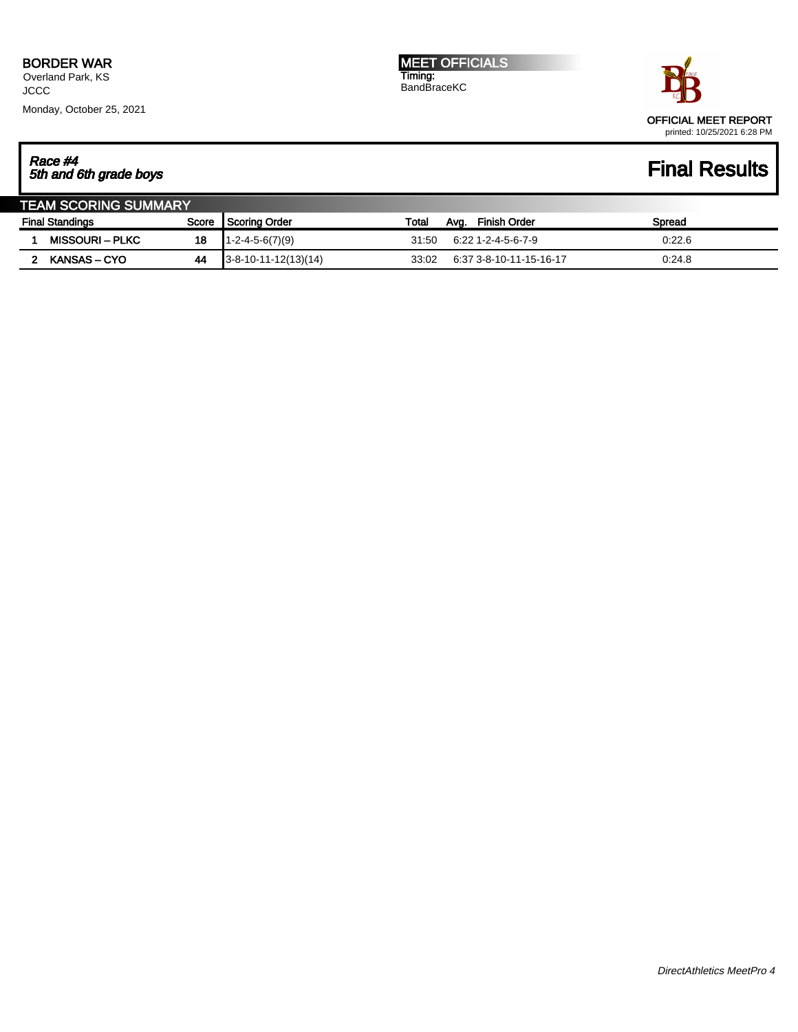Overland Park, KS **JCCC** Monday, October 25, 2021 MEET OFFICIALS Timing: BandBraceKC



## Race #4 5th and 6th grade boys Final Results

| <b>TEAM SCORING SUMMARY</b> |                        |       |                           |       |                             |        |  |  |
|-----------------------------|------------------------|-------|---------------------------|-------|-----------------------------|--------|--|--|
| <b>Final Standings</b>      |                        | Score | I Scoring Order           | Total | <b>Finish Order</b><br>Avg. | Spread |  |  |
|                             | <b>MISSOURI – PLKC</b> | 18    | $1 - 2 - 4 - 5 - 6(7)(9)$ | 31:50 | 6:22 1-2-4-5-6-7-9          | 0:22.6 |  |  |
|                             | <b>KANSAS – CYO</b>    | 44    | $3-8-10-11-12(13)(14)$    | 33:02 | 6:37 3-8-10-11-15-16-17     | 0.24.8 |  |  |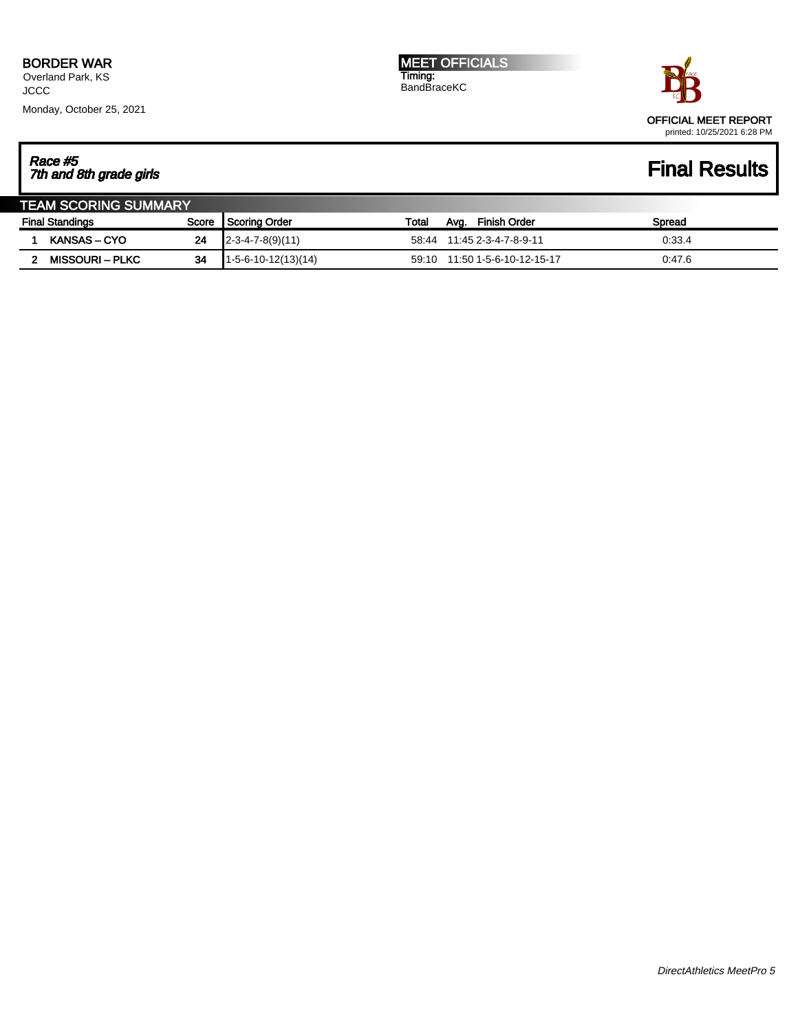Overland Park, KS **JCCC** Monday, October 25, 2021 MEET OFFICIALS Timing: BandBraceKC



# Race #5 7th and 8th grade girls Final Results

| <b>TEAM SCORING SUMMARY</b> |  |                        |                 |                       |                      |                               |        |  |  |
|-----------------------------|--|------------------------|-----------------|-----------------------|----------------------|-------------------------------|--------|--|--|
| <b>Final Standings</b>      |  | Score                  | I Scoring Order | Total                 | Finish Order<br>Ava. | Spread                        |        |  |  |
|                             |  | KANSAS – CYO           | 24              | $[2-3-4-7-8(9)(11)]$  | 58:44                | 11:45 2-3-4-7-8-9-11          | 0:33.4 |  |  |
|                             |  | <b>MISSOURI – PLKC</b> | 34              | $1-5-6-10-12(13)(14)$ |                      | 59:10 11:50 1-5-6-10-12-15-17 | 0.47.6 |  |  |